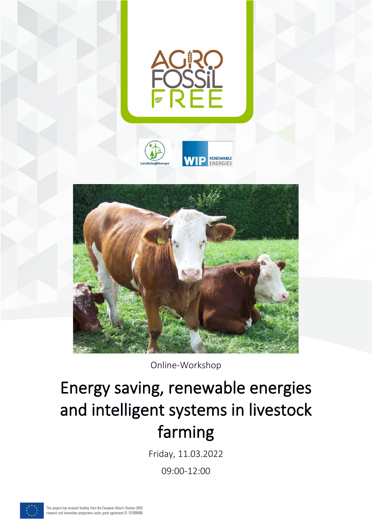



Online-Workshop

# Energy saving, renewable energies and intelligent systems in livestock farming

Friday, 11.03.2022

09:00-12:00

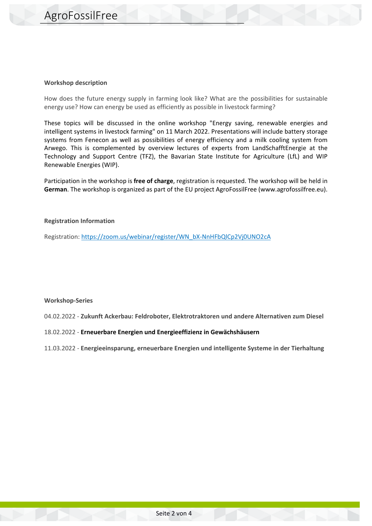#### **Workshop description**

How does the future energy supply in farming look like? What are the possibilities for sustainable energy use? How can energy be used as efficiently as possible in livestock farming?

These topics will be discussed in the online workshop "Energy saving, renewable energies and intelligent systems in livestock farming" on 11 March 2022. Presentations will include battery storage systems from Fenecon as well as possibilities of energy efficiency and a milk cooling system from Arwego. This is complemented by overview lectures of experts from LandSchafftEnergie at the Technology and Support Centre (TFZ), the Bavarian State Institute for Agriculture (LfL) and WIP Renewable Energies (WIP).

Participation in the workshop is **free of charge**, registration is requested. The workshop will be held in **German**. The workshop is organized as part of the EU project AgroFossilFree (www.agrofossilfree.eu).

#### **Registration Information**

Registration: https://zoom.us/webinar/register/WN\_bX-NnHFbQlCp2Vj0UNO2cA

#### **Workshop-Series**

04.02.2022 - **Zukunft Ackerbau: Feldroboter, Elektrotraktoren und andere Alternativen zum Diesel**

#### 18.02.2022 - **Erneuerbare Energien und Energieeffizienz in Gewächshäusern**

11.03.2022 - **Energieeinsparung, erneuerbare Energien und intelligente Systeme in der Tierhaltung**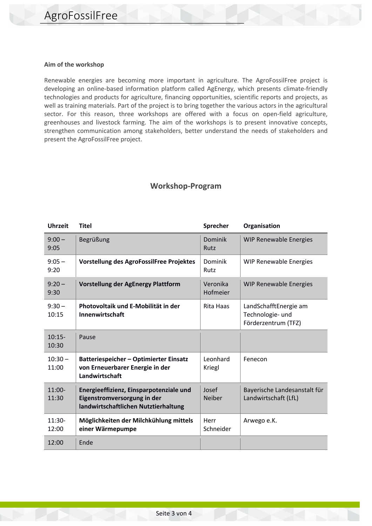#### **Aim of the workshop**

Renewable energies are becoming more important in agriculture. The AgroFossilFree project is developing an online-based information platform called AgEnergy, which presents climate-friendly technologies and products for agriculture, financing opportunities, scientific reports and projects, as well as training materials. Part of the project is to bring together the various actors in the agricultural sector. For this reason, three workshops are offered with a focus on open-field agriculture, greenhouses and livestock farming. The aim of the workshops is to present innovative concepts, strengthen communication among stakeholders, better understand the needs of stakeholders and present the AgroFossilFree project.

### **Workshop-Program**

| <b>Uhrzeit</b>     | <b>Titel</b>                                                                                                   | <b>Sprecher</b>        | Organisation                                                     |
|--------------------|----------------------------------------------------------------------------------------------------------------|------------------------|------------------------------------------------------------------|
| $9:00 -$<br>9:05   | Begrüßung                                                                                                      | Dominik<br>Rutz        | <b>WIP Renewable Energies</b>                                    |
| $9:05 -$<br>9:20   | Vorstellung des AgroFossilFree Projektes                                                                       | Dominik<br>Rutz        | WIP Renewable Energies                                           |
| $9:20 -$<br>9:30   | <b>Vorstellung der AgEnergy Plattform</b>                                                                      | Veronika<br>Hofmeier   | WIP Renewable Energies                                           |
| $9:30 -$<br>10:15  | Photovoltaik und E-Mobilität in der<br>Innenwirtschaft                                                         | Rita Haas              | LandSchafftEnergie am<br>Technologie- und<br>Förderzentrum (TFZ) |
| $10:15-$<br>10:30  | Pause                                                                                                          |                        |                                                                  |
| $10:30 -$<br>11:00 | <b>Batteriespeicher - Optimierter Einsatz</b><br>von Erneuerbarer Energie in der<br>Landwirtschaft             | Leonhard<br>Kriegl     | Fenecon                                                          |
| $11:00-$<br>11:30  | Energieeffizienz, Einsparpotenziale und<br>Eigenstromversorgung in der<br>landwirtschaftlichen Nutztierhaltung | Josef<br><b>Neiber</b> | Bayerische Landesanstalt für<br>Landwirtschaft (LfL)             |
| $11:30-$<br>12:00  | Möglichkeiten der Milchkühlung mittels<br>einer Wärmepumpe                                                     | Herr<br>Schneider      | Arwego e.K.                                                      |
| 12:00              | Ende                                                                                                           |                        |                                                                  |